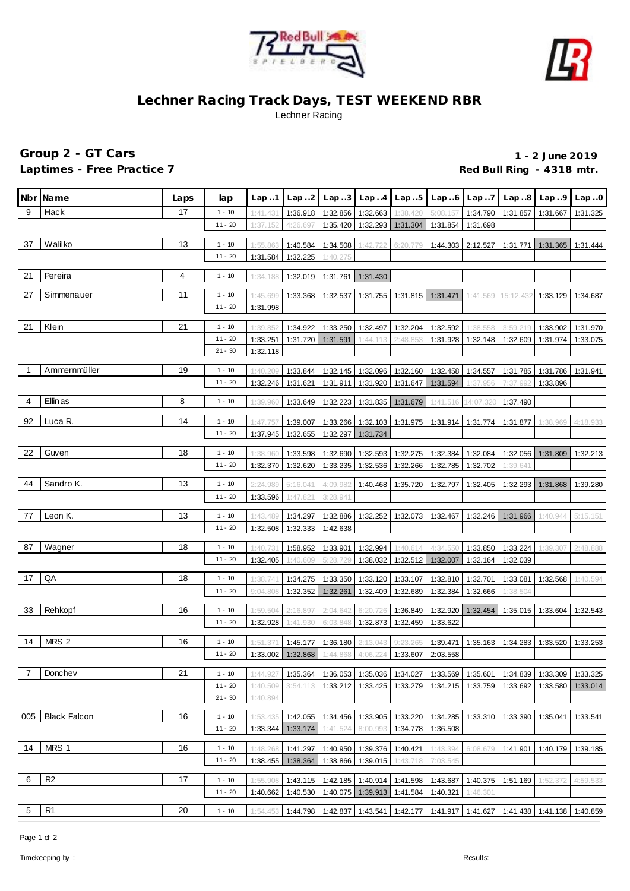



## **Lechner Racing Track Days, TEST WEEKEND RBR** Lechner Racing

## **Group 2 - GT Cars 1 - 2 June 2019** Laptimes - Free Practice 7 **Container and Container Property** Red Bull Ring - 4318 mtr.

|     | Nbr Name            | Laps | lap       | Lap.1                | Lap.2                | Lap.3                | Lap.4                | Lap.5                | Lap.6                | Lap7      |                   | $Lap.8$ $Lap.9$ $Lap.0$ |          |
|-----|---------------------|------|-----------|----------------------|----------------------|----------------------|----------------------|----------------------|----------------------|-----------|-------------------|-------------------------|----------|
| 9   | Hack                | 17   | $1 - 10$  | 1:41.431             | 1:36.918             | 1:32.856             | 1:32.663             | 1:38.420             | 5:08.157             | 1:34.790  | 1:31.857          | 1:31.667                | 1:31.325 |
|     |                     |      | $11 - 20$ | 1:37.152             | 4:26.697             | 1:35.420             | 1:32.293             | 1:31.304             | 1:31.854             | 1:31.698  |                   |                         |          |
| 37  | Walilko             | 13   | $1 - 10$  | 1:55.863             | 1:40.584             | 1:34.508             | 1:42.722             | 6:20.779             | 1:44.303             | 2:12.527  | 1:31.771          | 1:31.365                | 1:31.444 |
|     |                     |      | $11 - 20$ | 1:31.584             | 1:32.225             | 1:40.275             |                      |                      |                      |           |                   |                         |          |
| 21  | Pereira             | 4    | $1 - 10$  | 1:34.188             | 1:32.019             | 1:31.761             | 1:31.430             |                      |                      |           |                   |                         |          |
| 27  | Simmenauer          | 11   | $1 - 10$  |                      |                      |                      |                      |                      |                      |           | 15:12.43          |                         |          |
|     |                     |      | $11 - 20$ | 1:45.699<br>1:31.998 | 1:33.368             | 1:32.537             | 1:31.755             | 1:31.815             | 1:31.471             | 1:41.569  |                   | 1:33.129                | 1:34.687 |
| 21  | Klein               | 21   | $1 - 10$  | 1:39.852             | 1:34.922             | 1:33.250             | 1:32.497             | 1:32.204             | 1:32.592             | 1:38.558  | 3:59.219          | 1:33.902                | 1:31.970 |
|     |                     |      | $11 - 20$ | 1:33.251             | 1:31.720             | 1:31.591             | 1:44.113             | 2:48.853             | 1:31.928             | 1:32.148  | 1:32.609          | 1:31.974                | 1:33.075 |
|     |                     |      | $21 - 30$ | 1:32.118             |                      |                      |                      |                      |                      |           |                   |                         |          |
|     |                     |      |           |                      |                      |                      |                      |                      |                      |           |                   |                         |          |
|     | Ammernmüller        | 19   | $1 - 10$  | 1:40.209             | 1:33.844             | 1:32.145             | 1:32.096 1:32.160    |                      | 1:32.458             | 1:34.557  | 1:31.785          | 1:31.786                | 1:31.941 |
|     |                     |      | $11 - 20$ | 1:32.246             | 1:31.621             | 1:31.911             |                      | 1:31.920 1:31.647    | 1:31.594             | 1:37.956  | 7:37.992          | 1:33.896                |          |
| 4   | Ellinas             | 8    | $1 - 10$  | 1:39.960             | 1:33.649             | 1:32.223             |                      | 1:31.835   1:31.679  | 1:41.516             | 14:07.320 | 1:37.490          |                         |          |
| 92  | Luca R.             | 14   | $1 - 10$  | 1:47.757             | 1:39.007             | 1:33.266             | $1:32.103$ 1:31.975  |                      | 1:31.914             | 1:31.774  | 1:31.877          | 1:38.969                | 4:18.933 |
|     |                     |      | $11 - 20$ | 1:37.945             | 1:32.655             | 1:32.297             | 1:31.734             |                      |                      |           |                   |                         |          |
|     |                     |      |           |                      |                      |                      |                      |                      |                      |           |                   |                         |          |
| 22  | Guven               | 18   | $1 - 10$  | 1:38.960             | 1:33.598             | 1:32.690             | 1:32.593             | 1:32.275             | 1:32.384             | 1:32.084  |                   | 1:32.056 1:31.809       | 1:32.213 |
|     |                     |      | $11 - 20$ | 1:32.370             | 1:32.620             | 1:33.235             | 1:32.536             | 1:32.266             | 1:32.785             | 1:32.702  | 1:39.641          |                         |          |
| 44  | Sandro K.           | 13   | $1 - 10$  | 2:24.989             | 5:16.041             | 4:09.982             | 1:40.468             | 1:35.720             | 1:32.797             | 1:32.405  | 1:32.293          | 1:31.868                | 1:39.280 |
|     |                     |      | $11 - 20$ | 1:33.596             | 1:47.821             | 3:28.941             |                      |                      |                      |           |                   |                         |          |
| 77  | Leon K.             | 13   | $1 - 10$  | 1:43.489             |                      |                      |                      |                      |                      |           |                   |                         |          |
|     |                     |      | $11 - 20$ | 1:32.508             | 1:34.297<br>1:32.333 | 1:32.886<br>1:42.638 |                      | 1:32.252 1:32.073    | 1:32.467             |           | 1:32.246 1:31.966 | 1:40.944                | 5:15.151 |
|     |                     |      |           |                      |                      |                      |                      |                      |                      |           |                   |                         |          |
| 87  | Wagner              | 18   | $1 - 10$  | 1:40.73'             | 1:58.952             | 1:33.901             | 1:32.994             | 1:40.614             | 4:34.550             | 1:33.850  | 1:33.224          | 1:39.307                | 2:48.888 |
|     |                     |      | $11 - 20$ | 1:32.405             | 1:40.609             | 5:28.729             | 1:38.032             | 1:32.512 1:32.007    |                      | 1:32.164  | 1:32.039          |                         |          |
| 17  | QA                  | 18   | $1 - 10$  | 1:38.741             | 1:34.275             | 1:33.350             | 1:33.120             | 1:33.107             | 1:32.810             | 1:32.701  | 1:33.081          | 1:32.568                | 1:40.594 |
|     |                     |      | $11 - 20$ | 9:04.808             | 1:32.352             | 1:32.261             | 1:32.409             | 1:32.689             | 1:32.384             | 1:32.666  | 1:38.504          |                         |          |
| 33  | Rehkopf             | 16   | $1 - 10$  |                      |                      |                      |                      |                      |                      |           | 1:35.015          |                         |          |
|     |                     |      | $11 - 20$ | 1:59.504<br>1:32.928 | 2:16.897<br>1:41.930 | 2:04.642<br>6:03.848 | 6:20.726<br>1:32.873 | 1:36.849<br>1:32.459 | 1:32.920<br>1:33.622 | 1:32.454  |                   | 1:33.604                | 1:32.543 |
|     |                     |      |           |                      |                      |                      |                      |                      |                      |           |                   |                         |          |
| 14  | MRS 2               | 16   | $1 - 10$  | 1:51.37              | 1:45.177             | 1:36.180             | 2:13.043             | 9:23.26              | 1:39.471             | 1:35.163  | 1:34.283          | 1:33.520                | 1:33.253 |
|     |                     |      | $11 - 20$ | 1:33.002             | 1:32.868             | 1:44.868             | 4:06.224             | 1:33.607             | 2:03.558             |           |                   |                         |          |
| 7   | Donchev             | 21   | $1 - 10$  | 1:44.927             | 1:35.364             | 1:36.053             | 1:35.036             | 1:34.027             | 1:33.569             | 1:35.601  | 1:34.839          | 1:33.309                | 1:33.325 |
|     |                     |      | $11 - 20$ | 1:40.509             | 3:54.113             | 1:33.212             | 1:33.425             | 1:33.279             | 1:34.215             | 1:33.759  | 1:33.692          | 1:33.580                | 1:33.014 |
|     |                     |      | $21 - 30$ | 1:40.894             |                      |                      |                      |                      |                      |           |                   |                         |          |
|     |                     |      |           |                      |                      |                      |                      |                      |                      |           |                   |                         |          |
| 005 | <b>Black Falcon</b> | 16   | $1 - 10$  | 1:53.435             | 1:42.055             | 1:34.456             | 1:33.905             | 1:33.220             | 1:34.285             | 1:33.310  | 1:33.390          | 1:35.041                | 1:33.541 |
|     |                     |      | $11 - 20$ | 1:33.344             | 1:33.174             | 1:41.524             | 8:00.993             | 1:34.778             | 1:36.508             |           |                   |                         |          |
| 14  | MRS 1               | 16   | $1 - 10$  | 1:48.268             | 1:41.297             | 1:40.950             | 1:39.376             | 1:40.421             | 1:43.394             | 6:08.679  | 1:41.901          | 1:40.179                | 1:39.185 |
|     |                     |      | $11 - 20$ | 1:38.455             | 1:38.364             | 1:38.866             | 1:39.015             | 1:43.718             | 7:03.545             |           |                   |                         |          |
| 6   | R <sub>2</sub>      | 17   | $1 - 10$  | 1:55.908             | 1:43.115             | 1:42.185             | 1:40.914             | 1:41.598             | 1:43.687             | 1:40.375  | 1:51.169          | 1:52.372                | 4:59.533 |
|     |                     |      | $11 - 20$ | 1:40.662             | 1:40.530             | 1:40.075             | 1:39.913             | 1:41.584             | 1:40.321             | 1:46.301  |                   |                         |          |
|     |                     |      |           |                      |                      |                      |                      |                      |                      |           |                   |                         |          |
| 5   | R <sub>1</sub>      | 20   | $1 - 10$  | 1:54.453             | 1:44.798             | 1:42.837             | 1:43.541             | 1:42.177             | 1:41.917             | 1:41.627  |                   | 1:41.438 1:41.138       | 1:40.859 |

Page 1 of 2